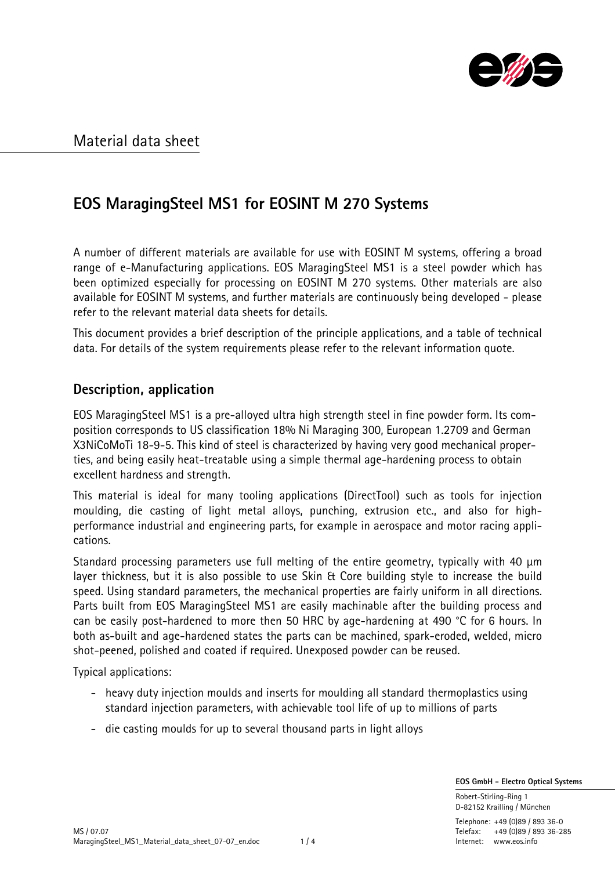

# **EOS MaragingSteel MS1 for EOSINT M 270 Systems**

A number of different materials are available for use with EOSINT M systems, offering a broad range of e-Manufacturing applications. EOS MaragingSteel MS1 is a steel powder which has been optimized especially for processing on EOSINT M 270 systems. Other materials are also available for EOSINT M systems, and further materials are continuously being developed - please refer to the relevant material data sheets for details.

This document provides a brief description of the principle applications, and a table of technical data. For details of the system requirements please refer to the relevant information quote.

### **Description, application**

EOS MaragingSteel MS1 is a pre-alloyed ultra high strength steel in fine powder form. Its composition corresponds to US classification 18% Ni Maraging 300, European 1.2709 and German X3NiCoMoTi 18-9-5. This kind of steel is characterized by having very good mechanical properties, and being easily heat-treatable using a simple thermal age-hardening process to obtain excellent hardness and strength.

This material is ideal for many tooling applications (DirectTool) such as tools for injection moulding, die casting of light metal alloys, punching, extrusion etc., and also for highperformance industrial and engineering parts, for example in aerospace and motor racing applications.

Standard processing parameters use full melting of the entire geometry, typically with 40 µm layer thickness, but it is also possible to use Skin & Core building style to increase the build speed. Using standard parameters, the mechanical properties are fairly uniform in all directions. Parts built from EOS MaragingSteel MS1 are easily machinable after the building process and can be easily post-hardened to more then 50 HRC by age-hardening at 490 °C for 6 hours. In both as-built and age-hardened states the parts can be machined, spark-eroded, welded, micro shot-peened, polished and coated if required. Unexposed powder can be reused.

Typical applications:

- heavy duty injection moulds and inserts for moulding all standard thermoplastics using standard injection parameters, with achievable tool life of up to millions of parts
- die casting moulds for up to several thousand parts in light alloys

 **EOS GmbH - Electro Optical Systems**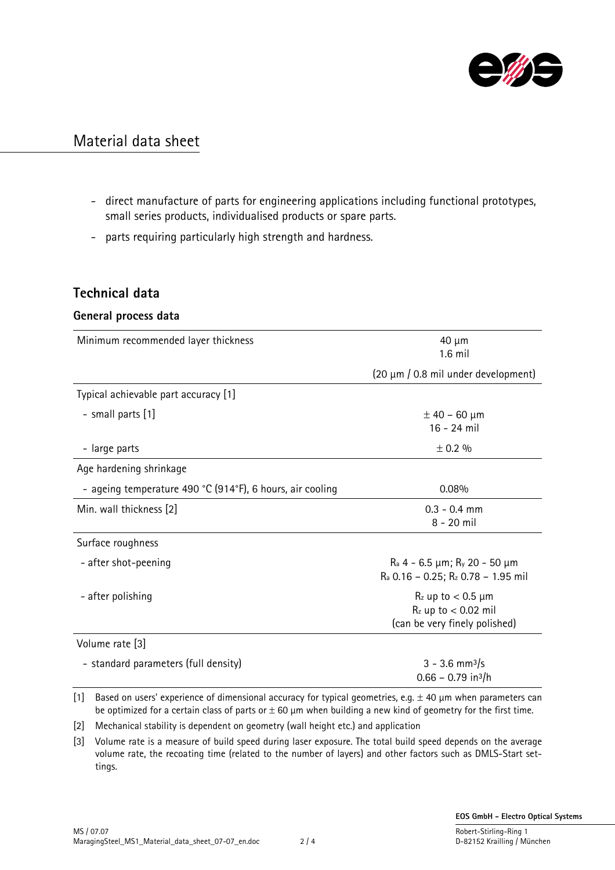

- direct manufacture of parts for engineering applications including functional prototypes, small series products, individualised products or spare parts.
- parts requiring particularly high strength and hardness.

### **Technical data**

#### **General process data**

| Minimum recommended layer thickness                       | 40 µm<br>$1.6$ mil                                                                                                      |
|-----------------------------------------------------------|-------------------------------------------------------------------------------------------------------------------------|
|                                                           | (20 μm / 0.8 mil under development)                                                                                     |
| Typical achievable part accuracy [1]                      |                                                                                                                         |
| - small parts [1]                                         | $±$ 40 - 60 µm<br>16 - 24 mil                                                                                           |
| - large parts                                             | $\pm$ 0.2 %                                                                                                             |
| Age hardening shrinkage                                   |                                                                                                                         |
| - ageing temperature 490 °C (914°F), 6 hours, air cooling | 0.08%                                                                                                                   |
| Min. wall thickness [2]                                   | $0.3 - 0.4$ mm<br>$8 - 20$ mil                                                                                          |
| Surface roughness                                         |                                                                                                                         |
| - after shot-peening                                      | $\text{Ra}$ 4 - 6.5 $\mu$ m; $\text{R}_y$ 20 - 50 $\mu$ m<br>R <sub>a</sub> 0.16 - 0.25; R <sub>z</sub> 0.78 - 1.95 mil |
| - after polishing                                         | $R_z$ up to $< 0.5$ µm<br>$Rz$ up to $< 0.02$ mil<br>(can be very finely polished)                                      |
| Volume rate [3]                                           |                                                                                                                         |
| - standard parameters (full density)                      | $3 - 3.6$ mm <sup>3</sup> /s<br>$0.66 - 0.79$ in <sup>3</sup> /h                                                        |

[1] Based on users' experience of dimensional accuracy for typical geometries, e.g.  $\pm$  40  $\mu$ m when parameters can be optimized for a certain class of parts or  $\pm$  60  $\mu$ m when building a new kind of geometry for the first time.

[2] Mechanical stability is dependent on geometry (wall height etc.) and application

[3] Volume rate is a measure of build speed during laser exposure. The total build speed depends on the average volume rate, the recoating time (related to the number of layers) and other factors such as DMLS-Start settings.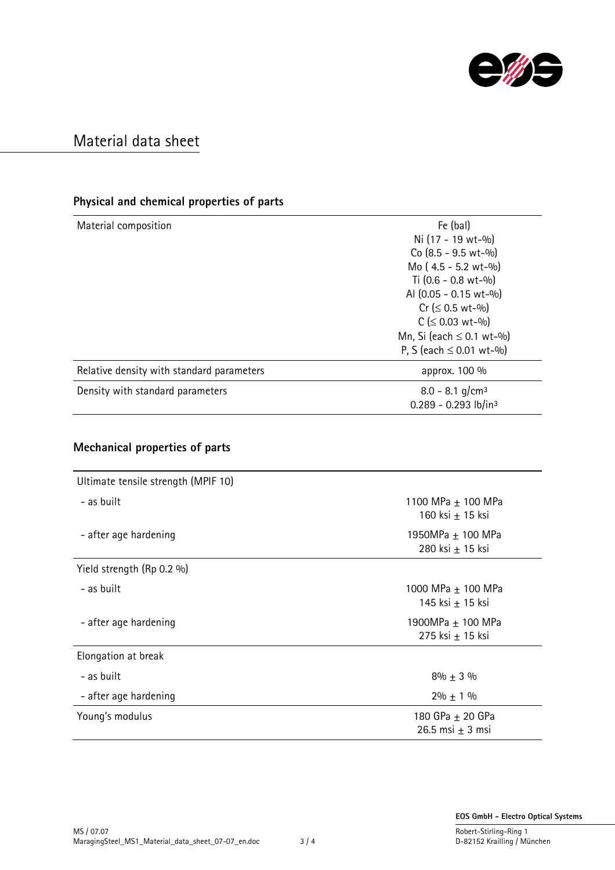

### **Physical and chemical properties of parts**

| Material composition                | Fe (bal)                                                                                                                                   |                                           |
|-------------------------------------|--------------------------------------------------------------------------------------------------------------------------------------------|-------------------------------------------|
|                                     | Ni (17 - 19 wt-%)                                                                                                                          |                                           |
|                                     | Co (8.5 - 9.5 wt-%)<br>Mo (4.5 - 5.2 wt-%)<br>Ti $(0.6 - 0.8 \text{ wt} - \frac{0}{0})$<br>Al (0.05 - 0.15 wt-%)<br>$Cr ( \leq 0.5 wt-$ %) |                                           |
|                                     |                                                                                                                                            | $C$ ( $\leq$ 0.03 wt-%)                   |
|                                     |                                                                                                                                            | Mn, Si (each $\leq$ 0.1 wt-%)             |
|                                     |                                                                                                                                            | P, S (each $\leq$ 0.01 wt-%)              |
|                                     |                                                                                                                                            | Relative density with standard parameters |
|                                     | Density with standard parameters                                                                                                           | 8.0 - 8.1 g/cm <sup>3</sup>               |
|                                     |                                                                                                                                            | 0.289 - 0.293 lb/in3                      |
|                                     |                                                                                                                                            |                                           |
| Mechanical properties of parts      |                                                                                                                                            |                                           |
| Ultimate tensile strength (MPIF 10) |                                                                                                                                            |                                           |
| - as built                          | 1100 MPa ± 100 MPa                                                                                                                         |                                           |
|                                     | 160 ksi ± 15 ksi                                                                                                                           |                                           |
|                                     |                                                                                                                                            |                                           |
| - after age hardening               | 1950MPa ± 100 MPa                                                                                                                          |                                           |
|                                     | 280 ksi ± 15 ksi                                                                                                                           |                                           |
| Yield strength (Rp 0.2 %)           |                                                                                                                                            |                                           |
| - as built                          | 1000 MPa ± 100 MPa                                                                                                                         |                                           |
|                                     | 145 ksi ± 15 ksi                                                                                                                           |                                           |
| - after age hardening               | 1900MPa ± 100 MPa                                                                                                                          |                                           |
|                                     | 275 ksi ± 15 ksi                                                                                                                           |                                           |
| Elongation at break                 |                                                                                                                                            |                                           |
| - as built                          | $8\% \pm 3\%$                                                                                                                              |                                           |
|                                     |                                                                                                                                            |                                           |
| - after age hardening               | $2\% \pm 1\%$                                                                                                                              |                                           |
| Young's modulus                     | 180 GPa ± 20 GPa                                                                                                                           |                                           |
|                                     | 26.5 msi $\pm$ 3 msi                                                                                                                       |                                           |